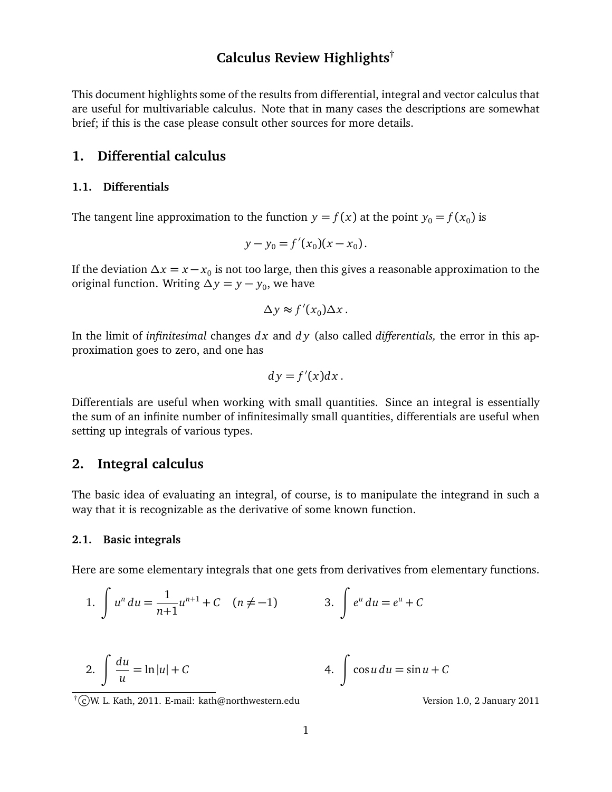# **Calculus Review Highlights**†

This document highlights some of the results from differential, integral and vector calculus that are useful for multivariable calculus. Note that in many cases the descriptions are somewhat brief; if this is the case please consult other sources for more details.

## **1. Differential calculus**

## **1.1. Differentials**

The tangent line approximation to the function  $y = f(x)$  at the point  $y_0 = f(x_0)$  is

$$
y - y_0 = f'(x_0)(x - x_0).
$$

If the deviation *∆x* = *x* − *x*<sup>0</sup> is not too large, then this gives a reasonable approximation to the original function. Writing  $\Delta y = y - y_0$ , we have

$$
\Delta y \approx f'(x_0) \Delta x \, .
$$

In the limit of *infinitesimal* changes *d x* and *d y* (also called *differentials,* the error in this approximation goes to zero, and one has

$$
dy = f'(x)dx.
$$

Differentials are useful when working with small quantities. Since an integral is essentially the sum of an infinite number of infinitesimally small quantities, differentials are useful when setting up integrals of various types.

## **2. Integral calculus**

The basic idea of evaluating an integral, of course, is to manipulate the integrand in such a way that it is recognizable as the derivative of some known function.

## **2.1. Basic integrals**

Here are some elementary integrals that one gets from derivatives from elementary functions.

1. 
$$
\int u^n du = \frac{1}{n+1}u^{n+1} + C \quad (n \neq -1) \qquad 3. \int e^u du = e^u + C
$$

2. 
$$
\int \frac{du}{u} = \ln|u| + C
$$
 4. 
$$
\int \cos u \, du = \sin u + C
$$

<sup>†</sup>CW. L. Kath, 2011. E-mail: kath@northwestern.edu Version 1.0, 2 January 2011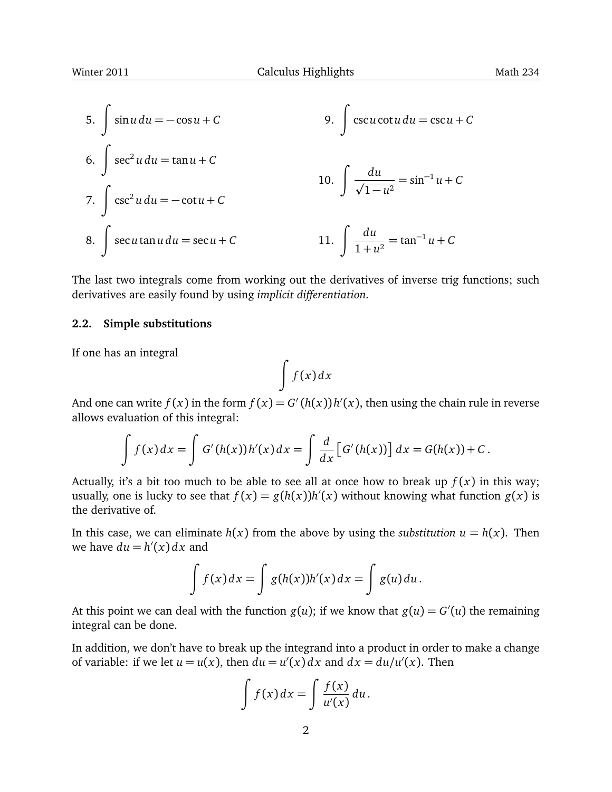5. 
$$
\int \sin u \, du = -\cos u + C
$$
  
\n6. 
$$
\int \sec^2 u \, du = \tan u + C
$$
  
\n7. 
$$
\int \csc^2 u \, du = -\cot u + C
$$
  
\n8. 
$$
\int \sec u \tan u \, du = \sec u + C
$$
  
\n10. 
$$
\int \frac{du}{\sqrt{1 - u^2}} = \sin^{-1} u + C
$$
  
\n11. 
$$
\int \frac{du}{1 + u^2} = \tan^{-1} u + C
$$

The last two integrals come from working out the derivatives of inverse trig functions; such derivatives are easily found by using *implicit differentiation.*

### **2.2. Simple substitutions**

If one has an integral

$$
\int f(x) dx
$$

And one can write  $f(x)$  in the form  $f(x) = G'(h(x))h'(x)$ , then using the chain rule in reverse allows evaluation of this integral:

$$
\int f(x) dx = \int G'(h(x))h'(x) dx = \int \frac{d}{dx} [G'(h(x))] dx = G(h(x)) + C.
$$

Actually, it's a bit too much to be able to see all at once how to break up  $f(x)$  in this way; usually, one is lucky to see that  $f(x) = g(h(x))h'(x)$  without knowing what function  $g(x)$  is the derivative of.

In this case, we can eliminate  $h(x)$  from the above by using the *substitution*  $u = h(x)$ . Then we have  $du = h'(x) dx$  and

$$
\int f(x) dx = \int g(h(x))h'(x) dx = \int g(u) du.
$$

At this point we can deal with the function  $g(u)$ ; if we know that  $g(u) = G'(u)$  the remaining integral can be done.

In addition, we don't have to break up the integrand into a product in order to make a change of variable: if we let  $u = u(x)$ , then  $du = u'(x) dx$  and  $dx = du/u'(x)$ . Then

$$
\int f(x) dx = \int \frac{f(x)}{u'(x)} du.
$$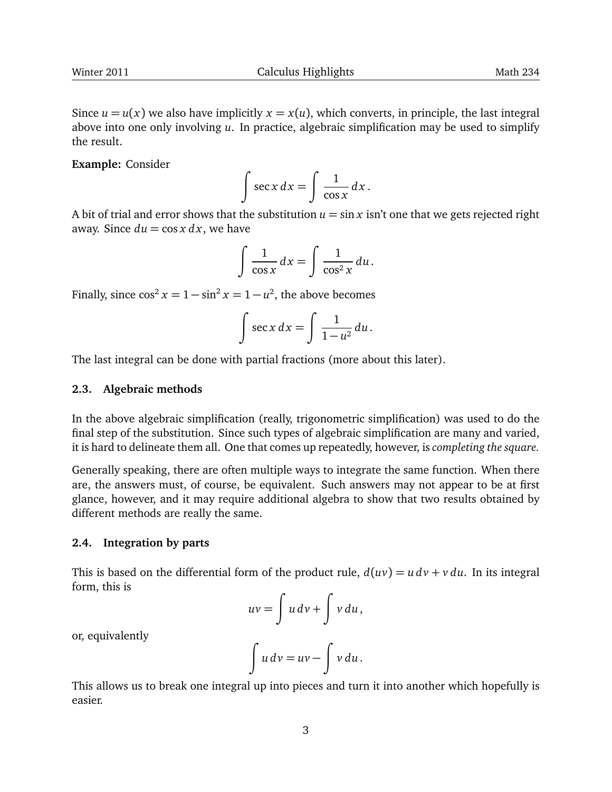Since  $u = u(x)$  we also have implicitly  $x = x(u)$ , which converts, in principle, the last integral above into one only involving *u*. In practice, algebraic simplification may be used to simplify the result.

**Example:** Consider

$$
\int \sec x \, dx = \int \frac{1}{\cos x} \, dx \, .
$$

A bit of trial and error shows that the substitution  $u = \sin x$  isn't one that we gets rejected right away. Since  $du = \cos x \, dx$ , we have

$$
\int \frac{1}{\cos x} dx = \int \frac{1}{\cos^2 x} du.
$$

Finally, since  $\cos^2 x = 1 - \sin^2 x = 1 - u^2$ , the above becomes

$$
\int \sec x \, dx = \int \frac{1}{1 - u^2} \, du \, .
$$

The last integral can be done with partial fractions (more about this later).

#### **2.3. Algebraic methods**

In the above algebraic simplification (really, trigonometric simplification) was used to do the final step of the substitution. Since such types of algebraic simplification are many and varied, it is hard to delineate them all. One that comes up repeatedly, however, is *completing the square.*

Generally speaking, there are often multiple ways to integrate the same function. When there are, the answers must, of course, be equivalent. Such answers may not appear to be at first glance, however, and it may require additional algebra to show that two results obtained by different methods are really the same.

#### **2.4. Integration by parts**

This is based on the differential form of the product rule,  $d(uv) = u dv + v du$ . In its integral form, this is

$$
uv = \int u \, dv + \int v \, du
$$

or, equivalently

$$
\int u\,dv = uv - \int v\,du.
$$

This allows us to break one integral up into pieces and turn it into another which hopefully is easier.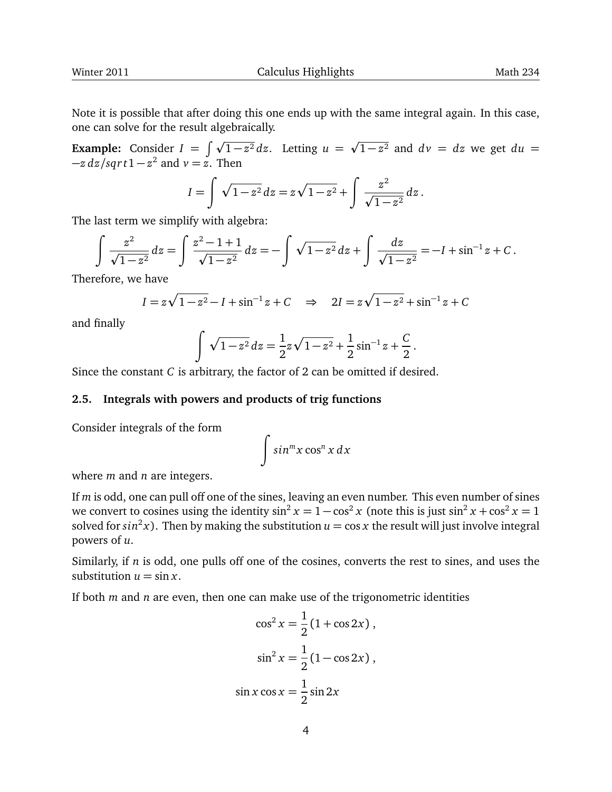Note it is possible that after doing this one ends up with the same integral again. In this case, one can solve for the result algebraically. p

**Example:** Consider  $I = \int \sqrt{1-z^2} dz$ . Letting  $u =$  $\overline{1-z^2}$  and  $dv = dz$  we get  $du =$  $-z \frac{dz}{sqrtt1} - z^2$  and  $v = \overline{z}$ . Then

$$
I = \int \sqrt{1 - z^2} \, dz = z \sqrt{1 - z^2} + \int \frac{z^2}{\sqrt{1 - z^2}} \, dz \, .
$$

The last term we simplify with algebra:

$$
\int \frac{z^2}{\sqrt{1-z^2}} dz = \int \frac{z^2-1+1}{\sqrt{1-z^2}} dz = -\int \sqrt{1-z^2} dz + \int \frac{dz}{\sqrt{1-z^2}} = -I + \sin^{-1} z + C.
$$

Therefore, we have

$$
I = z\sqrt{1 - z^2} - I + \sin^{-1} z + C \implies 2I = z\sqrt{1 - z^2} + \sin^{-1} z + C
$$

and finally

$$
\int \sqrt{1-z^2} \, dz = \frac{1}{2} z \sqrt{1-z^2} + \frac{1}{2} \sin^{-1} z + \frac{C}{2}.
$$

Since the constant *C* is arbitrary, the factor of 2 can be omitted if desired.

## **2.5. Integrals with powers and products of trig functions**

Consider integrals of the form

$$
\int \sin^m x \cos^n x \, dx
$$

where *m* and *n* are integers.

If *m* is odd, one can pull off one of the sines, leaving an even number. This even number of sines we convert to cosines using the identity  $\sin^2 x = 1 - \cos^2 x$  (note this is just  $\sin^2 x + \cos^2 x = 1$ solved for  $sin^2 x$ ). Then by making the substitution  $u = \cos x$  the result will just involve integral powers of *u*.

Similarly, if *n* is odd, one pulls off one of the cosines, converts the rest to sines, and uses the substitution  $u = \sin x$ .

If both *m* and *n* are even, then one can make use of the trigonometric identities

$$
\cos^2 x = \frac{1}{2} (1 + \cos 2x),
$$
  

$$
\sin^2 x = \frac{1}{2} (1 - \cos 2x),
$$
  

$$
\sin x \cos x = \frac{1}{2} \sin 2x
$$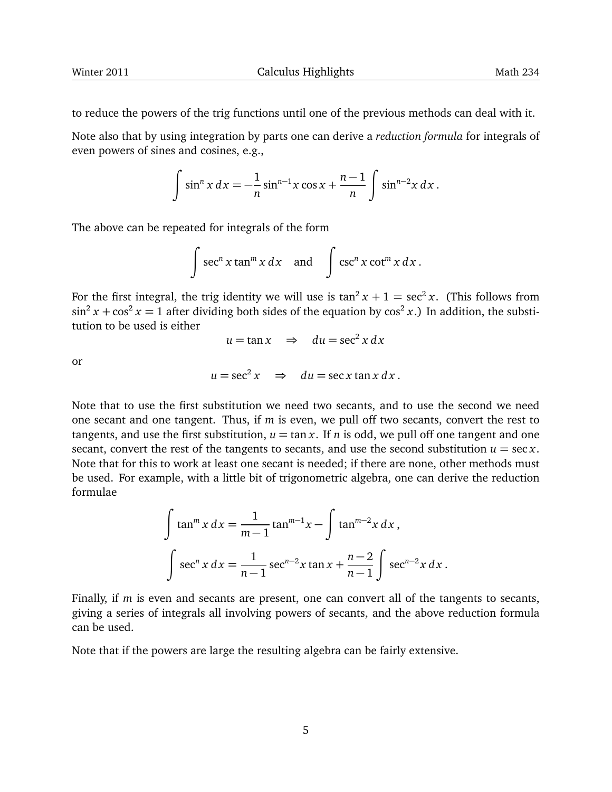to reduce the powers of the trig functions until one of the previous methods can deal with it.

Note also that by using integration by parts one can derive a *reduction formula* for integrals of even powers of sines and cosines, e.g.,

$$
\int \sin^n x \, dx = -\frac{1}{n} \sin^{n-1} x \cos x + \frac{n-1}{n} \int \sin^{n-2} x \, dx \, .
$$

The above can be repeated for integrals of the form

$$
\int \sec^n x \tan^m x \, dx \quad \text{and} \quad \int \csc^n x \cot^m x \, dx \, .
$$

For the first integral, the trig identity we will use is  $\tan^2 x + 1 = \sec^2 x$ . (This follows from  $\sin^2 x + \cos^2 x = 1$  after dividing both sides of the equation by  $\cos^2 x$ .) In addition, the substitution to be used is either

$$
u = \tan x \quad \Rightarrow \quad du = \sec^2 x \, dx
$$

or

$$
u = \sec^2 x \quad \Rightarrow \quad du = \sec x \tan x \, dx \, .
$$

Note that to use the first substitution we need two secants, and to use the second we need one secant and one tangent. Thus, if *m* is even, we pull off two secants, convert the rest to tangents, and use the first substitution,  $u = \tan x$ . If *n* is odd, we pull off one tangent and one secant, convert the rest of the tangents to secants, and use the second substitution  $u = \sec x$ . Note that for this to work at least one secant is needed; if there are none, other methods must be used. For example, with a little bit of trigonometric algebra, one can derive the reduction formulae

$$
\int \tan^m x \, dx = \frac{1}{m-1} \tan^{m-1} x - \int \tan^{m-2} x \, dx,
$$

$$
\int \sec^n x \, dx = \frac{1}{n-1} \sec^{n-2} x \tan x + \frac{n-2}{n-1} \int \sec^{n-2} x \, dx.
$$

Finally, if *m* is even and secants are present, one can convert all of the tangents to secants, giving a series of integrals all involving powers of secants, and the above reduction formula can be used.

Note that if the powers are large the resulting algebra can be fairly extensive.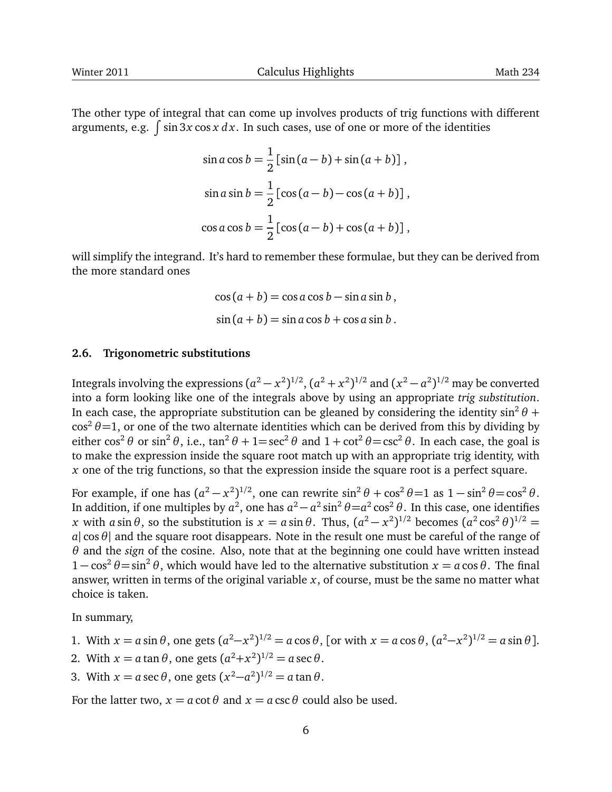The other type of integral that can come up involves products of trig functions with different arguments, e.g.  $\int \sin 3x \cos x \, dx$ . In such cases, use of one or more of the identities

$$
\sin a \cos b = \frac{1}{2} [\sin (a - b) + \sin (a + b)],
$$
  
\n
$$
\sin a \sin b = \frac{1}{2} [\cos (a - b) - \cos (a + b)],
$$
  
\n
$$
\cos a \cos b = \frac{1}{2} [\cos (a - b) + \cos (a + b)],
$$

will simplify the integrand. It's hard to remember these formulae, but they can be derived from the more standard ones

$$
\cos(a+b) = \cos a \cos b - \sin a \sin b,
$$
  

$$
\sin(a+b) = \sin a \cos b + \cos a \sin b.
$$

## **2.6. Trigonometric substitutions**

Integrals involving the expressions  $(a^2 - x^2)^{1/2}$ ,  $(a^2 + x^2)^{1/2}$  and  $(x^2 - a^2)^{1/2}$  may be converted into a form looking like one of the integrals above by using an appropriate *trig substitution*. In each case, the appropriate substitution can be gleaned by considering the identity  $\sin^2\theta$  +  $\cos^2 \theta = 1$ , or one of the two alternate identities which can be derived from this by dividing by either  $\cos^2 \theta$  or  $\sin^2 \theta$ , i.e.,  $\tan^2 \theta + 1 = \sec^2 \theta$  and  $1 + \cot^2 \theta = \csc^2 \theta$ . In each case, the goal is to make the expression inside the square root match up with an appropriate trig identity, with *x* one of the trig functions, so that the expression inside the square root is a perfect square.

For example, if one has  $(a^2 - x^2)^{1/2}$ , one can rewrite  $\sin^2 \theta + \cos^2 \theta = 1$  as  $1 - \sin^2 \theta = \cos^2 \theta$ . In addition, if one multiples by  $a^2$ , one has  $a^2 - a^2 \sin^2 \theta = a^2 \cos^2 \theta$ . In this case, one identifies *x* with *a* sin  $\theta$ , so the substitution is  $x = a \sin \theta$ . Thus,  $(a^2 - x^2)^{1/2}$  becomes  $(a^2 \cos^2 \theta)^{1/2}$  = *a*| cos*θ*| and the square root disappears. Note in the result one must be careful of the range of *θ* and the *sign* of the cosine. Also, note that at the beginning one could have written instead  $1 - \cos^2 \theta = \sin^2 \theta$ , which would have led to the alternative substitution  $x = a \cos \theta$ . The final answer, written in terms of the original variable *x*, of course, must be the same no matter what choice is taken.

In summary,

1. With 
$$
x = a \sin \theta
$$
, one gets  $(a^2 - x^2)^{1/2} = a \cos \theta$ , [or with  $x = a \cos \theta$ ,  $(a^2 - x^2)^{1/2} = a \sin \theta$ ].

- 2. With  $x = a \tan \theta$ , one gets  $(a^2 + x^2)^{1/2} = a \sec \theta$ .
- 3. With  $x = a \sec \theta$ , one gets  $(x^2 a^2)^{1/2} = a \tan \theta$ .

For the latter two,  $x = a \cot \theta$  and  $x = a \csc \theta$  could also be used.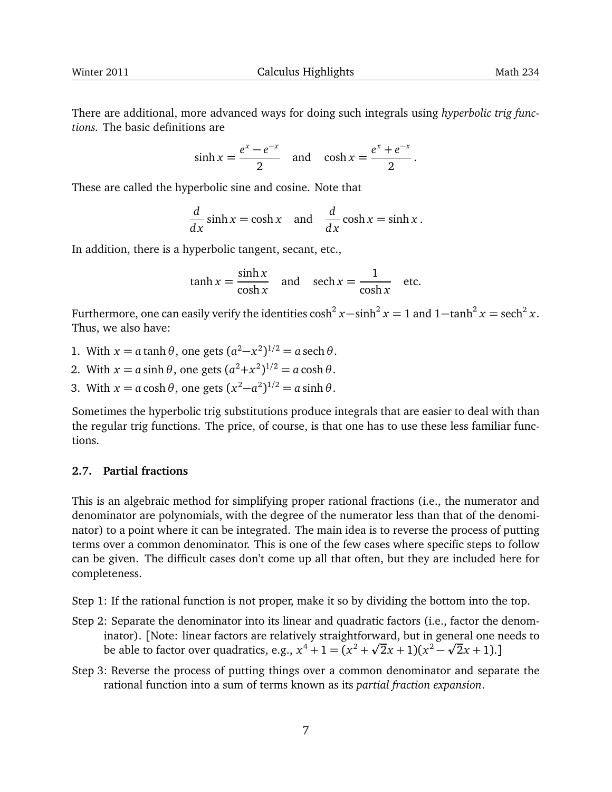There are additional, more advanced ways for doing such integrals using *hyperbolic trig functions.* The basic definitions are

$$
\sinh x = \frac{e^x - e^{-x}}{2} \quad \text{and} \quad \cosh x = \frac{e^x + e^{-x}}{2}.
$$

These are called the hyperbolic sine and cosine. Note that

$$
\frac{d}{dx}\sinh x = \cosh x \quad \text{and} \quad \frac{d}{dx}\cosh x = \sinh x.
$$

In addition, there is a hyperbolic tangent, secant, etc.,

$$
\tanh x = \frac{\sinh x}{\cosh x} \quad \text{and} \quad \text{sech } x = \frac{1}{\cosh x} \quad \text{etc.}
$$

Furthermore, one can easily verify the identities  $\cosh^2 x - \sinh^2 x = 1$  and  $1 - \tanh^2 x = \mathrm{sech}^2 x$ . Thus, we also have:

- 1. With  $x = a \tanh \theta$ , one gets  $(a^2 x^2)^{1/2} = a \sech \theta$ .
- 2. With  $x = a \sinh \theta$ , one gets  $(a^2 + x^2)^{1/2} = a \cosh \theta$ .
- 3. With  $x = a \cosh \theta$ , one gets  $(x^2 a^2)^{1/2} = a \sinh \theta$ .

Sometimes the hyperbolic trig substitutions produce integrals that are easier to deal with than the regular trig functions. The price, of course, is that one has to use these less familiar functions.

## **2.7. Partial fractions**

This is an algebraic method for simplifying proper rational fractions (i.e., the numerator and denominator are polynomials, with the degree of the numerator less than that of the denominator) to a point where it can be integrated. The main idea is to reverse the process of putting terms over a common denominator. This is one of the few cases where specific steps to follow can be given. The difficult cases don't come up all that often, but they are included here for completeness.

Step 1: If the rational function is not proper, make it so by dividing the bottom into the top.

- Step 2: Separate the denominator into its linear and quadratic factors (i.e., factor the denominator). [Note: linear factors are relatively straightforward, but in general one needs to p p be able to factor over quadratics, e.g.,  $x^4 + 1 = (x^2 + \sqrt{2}x + 1)(x^2 - \sqrt{2}x + 1)$ .]
- Step 3: Reverse the process of putting things over a common denominator and separate the rational function into a sum of terms known as its *partial fraction expansion*.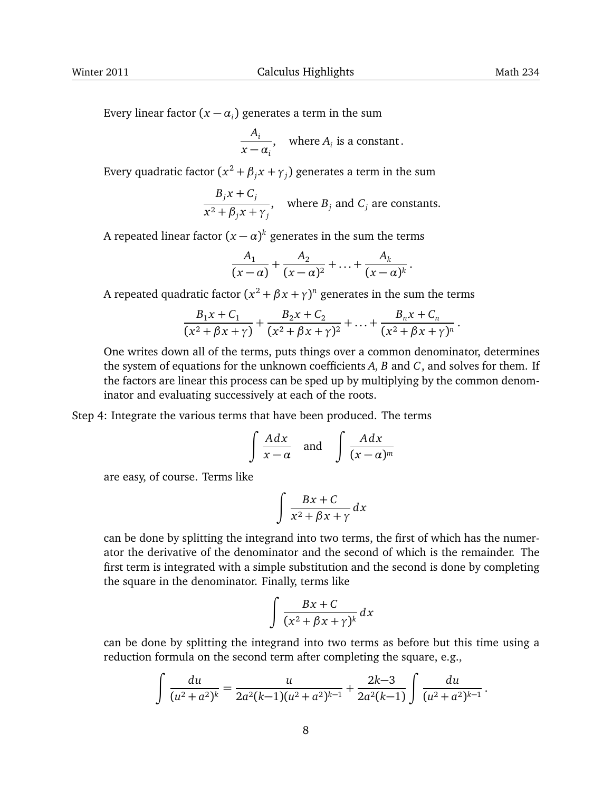.

Every linear factor  $(x - \alpha_i)$  generates a term in the sum

$$
\frac{A_i}{x - \alpha_i}
$$
, where  $A_i$  is a constant.

Every quadratic factor  $(x^2 + \beta_j x + \gamma_j)$  generates a term in the sum

$$
\frac{B_j x + C_j}{x^2 + \beta_j x + \gamma_j}, \quad \text{where } B_j \text{ and } C_j \text{ are constants.}
$$

A repeated linear factor  $(x - \alpha)^k$  generates in the sum the terms

$$
\frac{A_1}{(x-\alpha)}+\frac{A_2}{(x-\alpha)^2}+\ldots+\frac{A_k}{(x-\alpha)^k}.
$$

A repeated quadratic factor  $(x^2 + \beta x + \gamma)^n$  generates in the sum the terms

$$
\frac{B_1x + C_1}{(x^2 + \beta x + \gamma)} + \frac{B_2x + C_2}{(x^2 + \beta x + \gamma)^2} + \ldots + \frac{B_nx + C_n}{(x^2 + \beta x + \gamma)^n}
$$

One writes down all of the terms, puts things over a common denominator, determines the system of equations for the unknown coefficients *A*, *B* and *C*, and solves for them. If the factors are linear this process can be sped up by multiplying by the common denominator and evaluating successively at each of the roots.

## Step 4: Integrate the various terms that have been produced. The terms

$$
\int \frac{A dx}{x - \alpha} \quad \text{and} \quad \int \frac{A dx}{(x - \alpha)^m}
$$

are easy, of course. Terms like

$$
\int \frac{Bx + C}{x^2 + \beta x + \gamma} dx
$$

can be done by splitting the integrand into two terms, the first of which has the numerator the derivative of the denominator and the second of which is the remainder. The first term is integrated with a simple substitution and the second is done by completing the square in the denominator. Finally, terms like

$$
\int \frac{Bx + C}{(x^2 + \beta x + \gamma)^k} dx
$$

can be done by splitting the integrand into two terms as before but this time using a reduction formula on the second term after completing the square, e.g.,

$$
\int \frac{du}{(u^2+a^2)^k} = \frac{u}{2a^2(k-1)(u^2+a^2)^{k-1}} + \frac{2k-3}{2a^2(k-1)} \int \frac{du}{(u^2+a^2)^{k-1}}.
$$